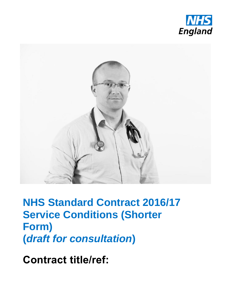



**NHS Standard Contract 2016/17 Service Conditions (Shorter Form) (***draft for consultation***)**

**Contract title/ref:**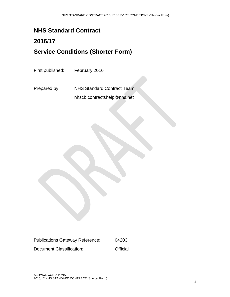## **NHS Standard Contract**

## **2016/17 Service Conditions (Shorter Form)**

First published: February 2016

Prepared by: NHS Standard Contract Team nhscb.contractshelp@nhs.net

Publications Gateway Reference: 04203 Document Classification: **Official**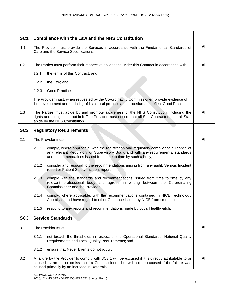| SC <sub>1</sub> | <b>Compliance with the Law and the NHS Constitution</b>                                                                                                                                                                                             |     |
|-----------------|-----------------------------------------------------------------------------------------------------------------------------------------------------------------------------------------------------------------------------------------------------|-----|
| 1.1.            | The Provider must provide the Services in accordance with the Fundamental Standards of<br>Care and the Service Specifications.                                                                                                                      | All |
| 1.2             | The Parties must perform their respective obligations under this Contract in accordance with:                                                                                                                                                       | All |
|                 | 1.2.1.<br>the terms of this Contract; and                                                                                                                                                                                                           |     |
|                 | 1.2.2. the Law; and                                                                                                                                                                                                                                 |     |
|                 | 1.2.3. Good Practice.                                                                                                                                                                                                                               |     |
|                 | The Provider must, when requested by the Co-ordinating Commissioner, provide evidence of<br>the development and updating of its clinical process and procedures to reflect Good Practice.                                                           |     |
| 1.3             | The Parties must abide by and promote awareness of the NHS Constitution, including the<br>rights and pledges set out in it. The Provider must ensure that all Sub-Contractors and all Staff<br>abide by the NHS Constitution.                       | All |
| SC <sub>2</sub> | <b>Regulatory Requirements</b>                                                                                                                                                                                                                      |     |
| 2.1             | The Provider must:                                                                                                                                                                                                                                  | All |
|                 | 2.1.1<br>comply, where applicable, with the registration and regulatory compliance guidance of<br>any relevant Regulatory or Supervisory Body, and with any requirements, standards<br>and recommendations issued from time to time by such a body; |     |
|                 | 2.1.2<br>consider and respond to the recommendations arising from any audit, Serious Incident<br>report or Patient Safety Incident report;                                                                                                          |     |
|                 | 2.1.3<br>comply with the standards and recommendations issued from time to time by any<br>relevant professional body and agreed in writing between the Co-ordinating<br>Commissioner and the Provider;                                              |     |
|                 | 2.1.4<br>comply, where applicable, with the recommendations contained in NICE Technology<br>Appraisals and have regard to other Guidance issued by NICE from time to time;                                                                          |     |
|                 | 2.1.5<br>respond to any reports and recommendations made by Local Healthwatch.                                                                                                                                                                      |     |
| SC <sub>3</sub> | <b>Service Standards</b>                                                                                                                                                                                                                            |     |
| 3.1             | The Provider must                                                                                                                                                                                                                                   | All |
|                 | 3.1.1<br>not breach the thresholds in respect of the Operational Standards, National Quality<br>Requirements and Local Quality Requirements; and                                                                                                    |     |
|                 | 3.1.2<br>ensure that Never Events do not occur.                                                                                                                                                                                                     |     |
| 3.2             | A failure by the Provider to comply with SC3.1 will be excused if it is directly attributable to or<br>caused by an act or omission of a Commissioner, but will not be excused if the failure was<br>caused primarily by an increase in Referrals.  | All |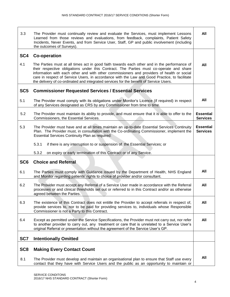| 3.3             | The Provider must continually review and evaluate the Services, must implement Lessons<br>Learned from those reviews and evaluations, from feedback, complaints, Patient Safety<br>Incidents, Never Events, and from Service User, Staff, GP and public involvement (including<br>the outcomes of Surveys).                                                                                                                                                                      | All                                 |
|-----------------|----------------------------------------------------------------------------------------------------------------------------------------------------------------------------------------------------------------------------------------------------------------------------------------------------------------------------------------------------------------------------------------------------------------------------------------------------------------------------------|-------------------------------------|
| SC <sub>4</sub> | <b>Co-operation</b>                                                                                                                                                                                                                                                                                                                                                                                                                                                              |                                     |
| 4.1             | The Parties must at all times act in good faith towards each other and in the performance of<br>their respective obligations under this Contract. The Parties must co-operate and share<br>information with each other and with other commissioners and providers of health or social<br>care in respect of Service Users, in accordance with the Law and Good Practice, to facilitate<br>the delivery of co-ordinated and integrated services for the benefit of Service Users. | All                                 |
| SC <sub>5</sub> | <b>Commissioner Requested Services / Essential Services</b>                                                                                                                                                                                                                                                                                                                                                                                                                      |                                     |
| 5.1             | The Provider must comply with its obligations under Monitor's Licence (if required) in respect<br>of any Services designated as CRS by any Commissioner from time to time.                                                                                                                                                                                                                                                                                                       | All                                 |
| 5.2             | The Provider must maintain its ability to provide, and must ensure that it is able to offer to the<br>Commissioners, the Essential Services.                                                                                                                                                                                                                                                                                                                                     | <b>Essential</b><br><b>Services</b> |
| 5.3             | The Provider must have and at all times maintain an up-to-date Essential Services Continuity<br>Plan. The Provider must, in consultation with the Co-ordinating Commissioner, implement the<br><b>Essential Services Continuity Plan as required:</b>                                                                                                                                                                                                                            | <b>Essential</b><br><b>Services</b> |
|                 | 5.3.1<br>if there is any interruption to or suspension of the Essential Services; or                                                                                                                                                                                                                                                                                                                                                                                             |                                     |
|                 | 5.3.2<br>on expiry or early termination of this Contract or of any Service.                                                                                                                                                                                                                                                                                                                                                                                                      |                                     |
| SC <sub>6</sub> | <b>Choice and Referral</b>                                                                                                                                                                                                                                                                                                                                                                                                                                                       |                                     |
| 6.1             | The Parties must comply with Guidance issued by the Department of Health, NHS England<br>and Monitor regarding patients' rights to choice of provider and/or consultant.                                                                                                                                                                                                                                                                                                         | All                                 |
| 6.2             | The Provider must accept any Referral of a Service User made in accordance with the Referral<br>processes or and clinical thresholds set out or referred to in this Contract and/or as otherwise<br>agreed between the Parties.                                                                                                                                                                                                                                                  | All                                 |
| 6.3             | The existence of this Contract does not entitle the Provider to accept referrals in respect of,<br>provide services to, nor to be paid for providing services to, individuals whose Responsible<br>Commissioner is not a Party to this Contract.                                                                                                                                                                                                                                 | All                                 |
| 6.4             | Except as permitted under the Service Specifications, the Provider must not carry out, nor refer<br>to another provider to carry out, any treatment or care that is unrelated to a Service User's<br>original Referral or presentation without the agreement of the Service User's GP.                                                                                                                                                                                           | All                                 |
| SC7             | <b>Intentionally Omitted</b>                                                                                                                                                                                                                                                                                                                                                                                                                                                     |                                     |
| SC <sub>8</sub> | <b>Making Every Contact Count</b>                                                                                                                                                                                                                                                                                                                                                                                                                                                |                                     |
| 8.1             | The Provider must develop and maintain an organisational plan to ensure that Staff use every<br>contact that they have with Service Users and the public as an opportunity to maintain or                                                                                                                                                                                                                                                                                        | All                                 |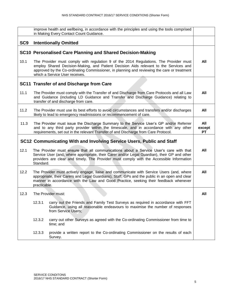|                 |              | improve health and wellbeing, in accordance with the principles and using the tools comprised<br>in Making Every Contact Count Guidance.                                                                                                                                                                        |                            |
|-----------------|--------------|-----------------------------------------------------------------------------------------------------------------------------------------------------------------------------------------------------------------------------------------------------------------------------------------------------------------|----------------------------|
| SC <sub>9</sub> |              | <b>Intentionally Omitted</b>                                                                                                                                                                                                                                                                                    |                            |
|                 |              | SC10 Personalised Care Planning and Shared Decision-Making                                                                                                                                                                                                                                                      |                            |
| 10.1            |              | The Provider must comply with regulation 9 of the 2014 Regulations. The Provider must<br>employ Shared Decision-Making, and Patient Decision Aids relevant to the Services and<br>approved by the Co-ordinating Commissioner, in planning and reviewing the care or treatment<br>which a Service User receives. | All                        |
|                 |              | SC11 Transfer of and Discharge from Care                                                                                                                                                                                                                                                                        |                            |
| 11.1            |              | The Provider must comply with the Transfer of and Discharge from Care Protocols and all Law<br>and Guidance (including LD Guidance and Transfer and Discharge Guidance) relating to<br>transfer of and discharge from care.                                                                                     | All                        |
| 11.2            |              | The Provider must use its best efforts to avoid circumstances and transfers and/or discharges<br>likely to lead to emergency readmissions or recommencement of care.                                                                                                                                            | All                        |
| 11.3            |              | The Provider must issue the Discharge Summary to the Service User's GP and/or Referrer<br>and to any third party provider within the timescale, and in accordance with any other<br>requirements, set out in the relevant Transfer of and Discharge from Care Protocol.                                         | All<br>except<br><b>PT</b> |
|                 |              | SC12 Communicating With and Involving Service Users, Public and Staff                                                                                                                                                                                                                                           |                            |
| 12.1            | Standard.    | The Provider must ensure that all communications about a Service User's care with that<br>Service User (and, where appropriate, their Carer and/or Legal Guardian), their GP and other<br>providers are clear and timely. The Provider must comply with the Accessible Information                              | All                        |
| 12.2            | practicable. | The Provider must actively engage, liaise and communicate with Service Users (and, where<br>appropriate, their Carers and Legal Guardians), Staff, GPs and the public in an open and clear<br>manner in accordance with the Law and Good Practice, seeking their feedback whenever                              | All                        |
| 12.3            |              | The Provider must:                                                                                                                                                                                                                                                                                              | All                        |
|                 | 12.3.1       | carry out the Friends and Family Test Surveys as required in accordance with FFT<br>Guidance, using all reasonable endeavours to maximise the number of responses<br>from Service Users;                                                                                                                        |                            |
|                 | 12.3.2       | carry out other Surveys as agreed with the Co-ordinating Commissioner from time to<br>time; and                                                                                                                                                                                                                 |                            |
|                 | 12.3.3       | provide a written report to the Co-ordinating Commissioner on the results of each<br>Survey.                                                                                                                                                                                                                    |                            |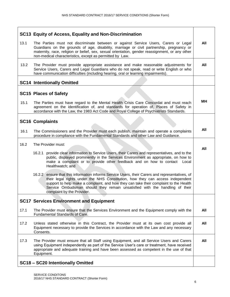| SC13 Equity of Access, Equality and Non-Discrimination                                                                                                                                                                                                                                                                                                                                  |           |
|-----------------------------------------------------------------------------------------------------------------------------------------------------------------------------------------------------------------------------------------------------------------------------------------------------------------------------------------------------------------------------------------|-----------|
| 13.1<br>The Parties must not discriminate between or against Service Users, Carers or Legal<br>Guardians on the grounds of age, disability, marriage or civil partnership, pregnancy or<br>maternity, race, religion or belief, sex, sexual orientation, gender reassignment, or any other<br>non-medical characteristics, except as permitted by Law.                                  | All       |
| 13.2<br>The Provider must provide appropriate assistance and make reasonable adjustments for<br>Service Users, Carers and Legal Guardians who do not speak, read or write English or who<br>have communication difficulties (including hearing, oral or learning impairments).                                                                                                          | All       |
| <b>SC14 Intentionally Omitted</b>                                                                                                                                                                                                                                                                                                                                                       |           |
| <b>SC15 Places of Safety</b>                                                                                                                                                                                                                                                                                                                                                            | <b>MH</b> |
| 15.1<br>The Parties must have regard to the Mental Health Crisis Care Concordat and must reach<br>agreement on the identification of, and standards for operation of, Places of Safety in<br>accordance with the Law, the 1983 Act Code and Royal College of Psychiatrists Standards.                                                                                                   |           |
| <b>SC16 Complaints</b>                                                                                                                                                                                                                                                                                                                                                                  |           |
| 16.1<br>The Commissioners and the Provider must each publish, maintain and operate a complaints<br>procedure in compliance with the Fundamental Standards and other Law and Guidance.                                                                                                                                                                                                   | All       |
| 16.2<br>The Provider must:                                                                                                                                                                                                                                                                                                                                                              |           |
| 16.2.1 provide clear information to Service Users, their Carers and representatives, and to the<br>public, displayed prominently in the Services Environment as appropriate, on how to<br>make a complaint or to provide other feedback and on how to contact Local<br>Healthwatch; and                                                                                                 | All       |
| 16.2.2 ensure that this information informs Service Users, their Carers and representatives, of<br>their legal rights under the NHS Constitution, how they can access independent<br>support to help make a complaint, and how they can take their complaint to the Health<br>Service Ombudsman should they remain unsatisfied with the handling of their<br>complaint by the Provider. |           |
| <b>SC17 Services Environment and Equipment</b>                                                                                                                                                                                                                                                                                                                                          |           |
| 17.1<br>The Provider must ensure that the Services Environment and the Equipment comply with the<br>Fundamental Standards of Care.                                                                                                                                                                                                                                                      | All       |
| 17.2<br>Unless stated otherwise in this Contract, the Provider must at its own cost provide all<br>Equipment necessary to provide the Services in accordance with the Law and any necessary<br>Consents.                                                                                                                                                                                | All       |
| 17.3<br>The Provider must ensure that all Staff using Equipment, and all Service Users and Carers<br>using Equipment independently as part of the Service User's care or treatment, have received<br>appropriate and adequate training and have been assessed as competent in the use of that<br>Equipment.                                                                             | All       |
| SC18 - SC20 Intentionally Omitted                                                                                                                                                                                                                                                                                                                                                       |           |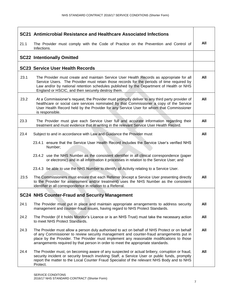|      | SC21 Antimicrobial Resistance and Healthcare Associated Infections                                                                                                                                                                                                                                                                                                       |     |
|------|--------------------------------------------------------------------------------------------------------------------------------------------------------------------------------------------------------------------------------------------------------------------------------------------------------------------------------------------------------------------------|-----|
| 21.1 | The Provider must comply with the Code of Practice on the Prevention and Control of<br>Infections.                                                                                                                                                                                                                                                                       | All |
|      | <b>SC22 Intentionally Omitted</b>                                                                                                                                                                                                                                                                                                                                        |     |
|      | <b>SC23 Service User Health Records</b>                                                                                                                                                                                                                                                                                                                                  |     |
| 23.1 | The Provider must create and maintain Service User Health Records as appropriate for all<br>Service Users. The Provider must retain those records for the periods of time required by<br>Law and/or by national retention schedules published by the Department of Health or NHS<br>England or HSCIC, and then securely destroy them.                                    | All |
| 23.2 | At a Commissioner's request, the Provider must promptly deliver to any third party provider of<br>healthcare or social care services nominated by that Commissioner a copy of the Service<br>User Health Record held by the Provider for any Service User for whom that Commissioner<br>is responsible.                                                                  | All |
| 23.3 | The Provider must give each Service User full and accurate information regarding their<br>treatment and must evidence that in writing in the relevant Service User Health Record.                                                                                                                                                                                        | All |
| 23.4 | Subject to and in accordance with Law and Guidance the Provider must                                                                                                                                                                                                                                                                                                     | All |
|      | 23.4.1 ensure that the Service User Health Record includes the Service User's verified NHS<br>Number;                                                                                                                                                                                                                                                                    |     |
|      | 23.4.2 use the NHS Number as the consistent identifier in all clinical correspondence (paper<br>or electronic) and in all information it processes in relation to the Service User; and                                                                                                                                                                                  |     |
|      | 23.4.3 be able to use the NHS Number to identify all Activity relating to a Service User.                                                                                                                                                                                                                                                                                |     |
| 23.5 | The Commissioners must ensure that each Referrer (except a Service User presenting directly<br>to the Provider for assessment and/or treatment) uses the NHS Number as the consistent<br>identifier in all correspondence in relation to a Referral.                                                                                                                     | All |
|      | <b>SC24 NHS Counter-Fraud and Security Management</b>                                                                                                                                                                                                                                                                                                                    |     |
| 24.1 | The Provider must put in place and maintain appropriate arrangements to address security<br>management and counter-fraud issues, having regard to NHS Protect Standards.                                                                                                                                                                                                 | All |
| 24.2 | The Provider (if it holds Monitor's Licence or is an NHS Trust) must take the necessary action<br>to meet NHS Protect Standards.                                                                                                                                                                                                                                         | All |
| 24.3 | The Provider must allow a person duly authorised to act on behalf of NHS Protect or on behalf<br>of any Commissioner to review security management and counter-fraud arrangements put in<br>place by the Provider. The Provider must implement any reasonable modifications to those<br>arrangements required by that person in order to meet the appropriate standards. | All |
| 24.4 | The Provider must, on becoming aware of any suspected or actual bribery, corruption or fraud,<br>security incident or security breach involving Staff, a Service User or public funds, promptly<br>report the matter to the Local Counter Fraud Specialist of the relevant NHS Body and to NHS<br>Protect.                                                               | All |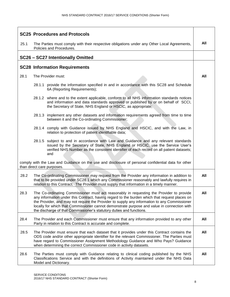|      | <b>SC25 Procedures and Protocols</b>                                                                                                                                                                                                                                                                                                                                                                                                                             |     |
|------|------------------------------------------------------------------------------------------------------------------------------------------------------------------------------------------------------------------------------------------------------------------------------------------------------------------------------------------------------------------------------------------------------------------------------------------------------------------|-----|
| 25.1 | The Parties must comply with their respective obligations under any Other Local Agreements,<br>Policies and Procedures.                                                                                                                                                                                                                                                                                                                                          | All |
|      | SC26 - SC27 Intentionally Omitted                                                                                                                                                                                                                                                                                                                                                                                                                                |     |
|      | <b>SC28 Information Requirements</b>                                                                                                                                                                                                                                                                                                                                                                                                                             |     |
|      |                                                                                                                                                                                                                                                                                                                                                                                                                                                                  |     |
| 28.1 | The Provider must:                                                                                                                                                                                                                                                                                                                                                                                                                                               | All |
|      | 28.1.1 provide the information specified in and in accordance with this SC28 and Schedule<br>6A (Reporting Requirements);                                                                                                                                                                                                                                                                                                                                        |     |
|      | 28.1.2 where and to the extent applicable, conform to all NHS information standards notices<br>and information and data standards approved or published by or on behalf of SCCI,<br>the Secretary of State, NHS England or HSCIC, as appropriate;                                                                                                                                                                                                                |     |
|      | 28.1.3 implement any other datasets and information requirements agreed from time to time<br>between it and the Co-ordinating Commissioner;                                                                                                                                                                                                                                                                                                                      |     |
|      | 28.1.4 comply with Guidance issued by NHS England and HSCIC, and with the Law, in<br>relation to protection of patient identifiable data;                                                                                                                                                                                                                                                                                                                        |     |
|      | 28.1.5 subject to and in accordance with Law and Guidance and any relevant standards<br>issued by the Secretary of State, NHS England or HSCIC, use the Service User's<br>verified NHS Number as the consistent identifier of each record on all patient datasets;<br>and                                                                                                                                                                                        |     |
|      | comply with the Law and Guidance on the use and disclosure of personal confidential data for other<br>than direct care purposes.                                                                                                                                                                                                                                                                                                                                 |     |
| 28.2 | The Co-ordinating Commissioner may request from the Provider any information in addition to<br>that to be provided under SC28.1 which any Commissioner reasonably and lawfully requires in<br>relation to this Contract. The Provider must supply that information in a timely manner.                                                                                                                                                                           | All |
| 28.3 | The Co-ordinating Commissioner must act reasonably in requesting the Provider to provide<br>any information under this Contract, having regard to the burden which that request places on<br>the Provider, and may not require the Provider to supply any information to any Commissioner<br>locally for which that Commissioner cannot demonstrate purpose and value in connection with<br>the discharge of that Commissioner's statutory duties and functions. | All |
| 28.4 | The Provider and each Commissioner must ensure that any information provided to any other<br>Party in relation to this Contract is accurate and complete.                                                                                                                                                                                                                                                                                                        | All |
| 28.5 | The Provider must ensure that each dataset that it provides under this Contract contains the<br>ODS code and/or other appropriate identifier for the relevant Commissioner. The Parties must<br>have regard to Commissioner Assignment Methodology Guidance and Who Pays? Guidance<br>when determining the correct Commissioner code in activity datasets.                                                                                                       | All |
| 28.6 | The Parties must comply with Guidance relating to clinical coding published by the NHS<br>Classifications Service and with the definitions of Activity maintained under the NHS Data<br>Model and Dictionary.                                                                                                                                                                                                                                                    | All |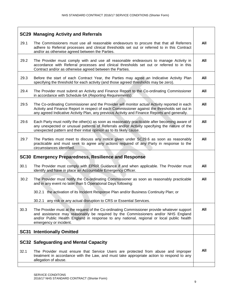|      | <b>SC29 Managing Activity and Referrals</b>                                                                                                                                                                                                                                                             |     |
|------|---------------------------------------------------------------------------------------------------------------------------------------------------------------------------------------------------------------------------------------------------------------------------------------------------------|-----|
| 29.1 | The Commissioners must use all reasonable endeavours to procure that that all Referrers<br>adhere to Referral processes and clinical thresholds set out or referred to in this Contract<br>and/or as otherwise agreed between the Parties.                                                              | All |
| 29.2 | The Provider must comply with and use all reasonable endeavours to manage Activity in<br>accordance with Referral processes and clinical thresholds set out or referred to in this<br>Contract and/or as otherwise agreed between the Parties.                                                          | All |
| 29.3 | Before the start of each Contract Year, the Parties may agree an Indicative Activity Plan<br>specifying the threshold for each activity (and those agreed thresholds may be zero).                                                                                                                      | All |
| 29.4 | The Provider must submit an Activity and Finance Report to the Co-ordinating Commissioner<br>in accordance with Schedule 6A (Reporting Requirements).                                                                                                                                                   | All |
| 29.5 | The Co-ordinating Commissioner and the Provider will monitor actual Activity reported in each<br>Activity and Finance Report in respect of each Commissioner against the thresholds set out in<br>any agreed Indicative Activity Plan, any previous Activity and Finance Reports and generally.         | All |
| 29.6 | Each Party must notify the other(s) as soon as reasonably practicable after becoming aware of<br>any unexpected or unusual patterns of Referrals and/or Activity specifying the nature of the<br>unexpected pattern and their initial opinion as to its likely cause.                                   | All |
| 29.7 | The Parties must meet to discuss any notice given under SC29.6 as soon as reasonably<br>practicable and must seek to agree any actions required of any Party in response to the<br>circumstances identified.                                                                                            | All |
|      | SC30 Emergency Preparedness, Resilience and Response                                                                                                                                                                                                                                                    |     |
| 30.1 | The Provider must comply with EPRR Guidance if and when applicable. The Provider must<br>identify and have in place an Accountable Emergency Officer.                                                                                                                                                   | All |
| 30.2 | The Provider must notify the Co-ordinating Commissioner as soon as reasonably practicable<br>and in any event no later than 5 Operational Days following:                                                                                                                                               | All |
|      | 30.2.1 the activation of its Incident Response Plan and/or Business Continuity Plan; or                                                                                                                                                                                                                 |     |
|      | 30.2.1 any risk or any actual disruption to CRS or Essential Services.                                                                                                                                                                                                                                  |     |
| 30.3 | The Provider must at the request of the Co-ordinating Commissioner provide whatever support<br>and assistance may reasonably be required by the Commissioners and/or NHS England<br>and/or Public Health England in response to any national, regional or local public health<br>emergency or incident. | All |
|      | <b>SC31 Intentionally Omitted</b>                                                                                                                                                                                                                                                                       |     |
|      | <b>SC32 Safeguarding and Mental Capacity</b>                                                                                                                                                                                                                                                            |     |
| 32.1 | The Provider must ensure that Service Users are protected from abuse and improper<br>treatment in accordance with the Law, and must take appropriate action to respond to any<br>allegation of abuse.                                                                                                   | All |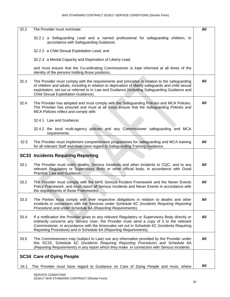| 32.2 | The Provider must nominate:                                                                                                                                                                                                                                                                                                                                      | All |
|------|------------------------------------------------------------------------------------------------------------------------------------------------------------------------------------------------------------------------------------------------------------------------------------------------------------------------------------------------------------------|-----|
|      | 32.2.1 a Safeguarding Lead and a named professional for safeguarding children, in<br>accordance with Safeguarding Guidance;                                                                                                                                                                                                                                      |     |
|      | 32.2.2 a Child Sexual Exploitation Lead; and                                                                                                                                                                                                                                                                                                                     |     |
|      | 32.2.3 a Mental Capacity and Deprivation of Liberty Lead,                                                                                                                                                                                                                                                                                                        |     |
|      | and must ensure that the Co-ordinating Commissioner is kept informed at all times of the<br>identity of the persons holding those positions.                                                                                                                                                                                                                     |     |
| 32.3 | The Provider must comply with the requirements and principles in relation to the safeguarding<br>of children and adults, including in relation to deprivation of liberty safeguards and child sexual<br>exploitation, set out or referred to in Law and Guidance (including Safeguarding Guidance and<br>Child Sexual Exploitation Guidance).                    | All |
| 32.4 | The Provider has adopted and must comply with the Safeguarding Policies and MCA Policies.<br>The Provider has ensured and must at all times ensure that the Safeguarding Policies and<br>MCA Policies reflect and comply with:                                                                                                                                   | All |
|      | 32.4.1 Law and Guidance;                                                                                                                                                                                                                                                                                                                                         |     |
|      | 32.4.2 the local multi-agency policies and any Commissioner safeguarding and MCA<br>requirements.                                                                                                                                                                                                                                                                |     |
| 32.5 | The Provider must implement comprehensive programmes for safeguarding and MCA training<br>for all relevant Staff and must have regard to Safeguarding Training Guidance.                                                                                                                                                                                         | All |
|      | <b>SC33 Incidents Requiring Reporting</b>                                                                                                                                                                                                                                                                                                                        |     |
| 33.1 | The Provider must notify deaths, Serious Incidents and other incidents to CQC, and to any<br>relevant Regulatory or Supervisory Body or other official body, in accordance with Good<br>Practice, Law and Guidance.                                                                                                                                              | All |
| 33.2 | The Provider must comply with the NHS Serious Incident Framework and the Never Events<br>Policy Framework, and must report all Serious Incidents and Never Events in accordance with<br>the requirements of those Frameworks.                                                                                                                                    | All |
| 33.3 | The Parties must comply with their respective obligations in relation to deaths and other<br>incidents in connection with the Services under Schedule 6C (Incidents Requiring Reporting<br>Procedure) and under Schedule 6A (Reporting Requirements).                                                                                                            | All |
| 33.4 | If a notification the Provider gives to any relevant Regulatory or Supervisory Body directly or<br>indirectly concerns any Service User, the Provider must send a copy of it to the relevant<br>Commissioner, in accordance with the timescales set out in Schedule 6C (Incidents Requiring<br>Reporting Procedure) and in Schedule 6A (Reporting Requirements). | All |
| 33.5 | The Commissioners may (subject to Law) use any information provided by the Provider under<br>this SC33, Schedule 6C (Incidents Requiring Reporting Procedure) and Schedule 6A<br>(Reporting Requirements) in any report which they make in connection with Serious Incidents.                                                                                    | All |
|      |                                                                                                                                                                                                                                                                                                                                                                  |     |
|      | <b>SC34 Care of Dying People</b>                                                                                                                                                                                                                                                                                                                                 |     |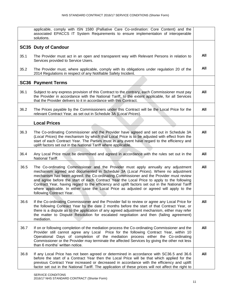|      | applicable, comply with ISN 1580 (Palliative Care Co-ordination: Core Content) and the<br>associated EPACCS IT System Requirements to ensure implementation of interoperable<br>solutions.                                                                                                                                                                                                                                                                                                                                                                                                   |     |
|------|----------------------------------------------------------------------------------------------------------------------------------------------------------------------------------------------------------------------------------------------------------------------------------------------------------------------------------------------------------------------------------------------------------------------------------------------------------------------------------------------------------------------------------------------------------------------------------------------|-----|
|      | <b>SC35 Duty of Candour</b>                                                                                                                                                                                                                                                                                                                                                                                                                                                                                                                                                                  |     |
| 35.1 | The Provider must act in an open and transparent way with Relevant Persons in relation to<br>Services provided to Service Users.                                                                                                                                                                                                                                                                                                                                                                                                                                                             | All |
| 35.2 | The Provider must, where applicable, comply with its obligations under regulation 20 of the<br>2014 Regulations in respect of any Notifiable Safety Incident.                                                                                                                                                                                                                                                                                                                                                                                                                                | All |
|      | <b>SC36 Payment Terms</b>                                                                                                                                                                                                                                                                                                                                                                                                                                                                                                                                                                    |     |
| 36.1 | Subject to any express provision of this Contract to the contrary, each Commissioner must pay<br>the Provider in accordance with the National Tariff, to the extent applicable, for all Services<br>that the Provider delivers to it in accordance with this Contract.                                                                                                                                                                                                                                                                                                                       | All |
| 36.2 | The Prices payable by the Commissioners under this Contract will be the Local Price for the<br>relevant Contract Year, as set out in Schedule 3A (Local Prices).                                                                                                                                                                                                                                                                                                                                                                                                                             | All |
|      | <b>Local Prices</b>                                                                                                                                                                                                                                                                                                                                                                                                                                                                                                                                                                          |     |
| 36.3 | The Co-ordinating Commissioner and the Provider have agreed and set out in Schedule 3A<br>(Local Prices) the mechanism by which that Local Price is to be adjusted with effect from the<br>start of each Contract Year. The Parties must in any event have regard to the efficiency and<br>uplift factors set out in the National Tariff where applicable.                                                                                                                                                                                                                                   | All |
| 36.4 | Any Local Price must be determined and agreed in accordance with the rules set out in the<br>National Tariff.                                                                                                                                                                                                                                                                                                                                                                                                                                                                                | All |
| 36.5 | The Co-ordinating Commissioner and the Provider must apply annually any adjustment<br>mechanism agreed and documented in Schedule 3A (Local Prices). Where no adjustment<br>mechanism has been agreed, the Co-ordinating Commissioner and the Provider must review<br>and agree before the start of each Contract Year the Local Price to apply to the following<br>Contract Year, having regard to the efficiency and uplift factors set out in the National Tariff<br>where applicable. In either case the Local Price as adjusted or agreed will apply to the<br>following Contract Year. | All |
| 36.6 | If the Co-ordinating Commissioner and the Provider fail to review or agree any Local Price for<br>the following Contract Year by the date 2 months before the start of that Contract Year, or<br>there is a dispute as to the application of any agreed adjustment mechanism, either may refer<br>the matter to Dispute Resolution for escalated negotiation and then (failing agreement)<br>mediation.                                                                                                                                                                                      | All |
| 36.7 | If on or following completion of the mediation process the Co-ordinating Commissioner and the<br>Provider still cannot agree any Local Price for the following Contract Year, within 10<br>Operational Days of completion of the mediation process either the Co-ordinating<br>Commissioner or the Provider may terminate the affected Services by giving the other not less<br>than 6 months' written notice.                                                                                                                                                                               | All |
| 36.8 | If any Local Price has not been agreed or determined in accordance with SC36.5 and 36.6<br>before the start of a Contract Year then the Local Price will be that which applied for the<br>previous Contract Year increased or decreased in accordance with the efficiency and uplift<br>factor set out in the National Tariff. The application of these prices will not affect the right to                                                                                                                                                                                                  | All |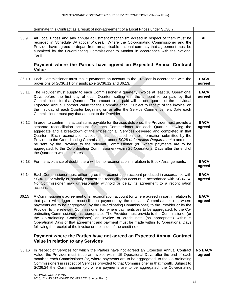|       | terminate this Contract as a result of non-agreement of a Local Prices under SC36.7.                                                                                                                                                                                                                                                                                                                                                                                                                                                                                                                                                                                                                                                             |                          |
|-------|--------------------------------------------------------------------------------------------------------------------------------------------------------------------------------------------------------------------------------------------------------------------------------------------------------------------------------------------------------------------------------------------------------------------------------------------------------------------------------------------------------------------------------------------------------------------------------------------------------------------------------------------------------------------------------------------------------------------------------------------------|--------------------------|
| 36.9  | All Local Prices and any annual adjustment mechanism agreed in respect of them must be<br>recorded in Schedule 3A (Local Prices). Where the Co-ordinating Commissioner and the<br>Provider have agreed to depart from an applicable national currency that agreement must be<br>submitted by the Co-ordinating Commissioner to Monitor in accordance with the National<br>Tariff.                                                                                                                                                                                                                                                                                                                                                                | All                      |
|       | Payment where the Parties have agreed an Expected Annual Contract<br><b>Value</b>                                                                                                                                                                                                                                                                                                                                                                                                                                                                                                                                                                                                                                                                |                          |
| 36.10 | Each Commissioner must make payments on account to the Provider in accordance with the<br>provisions of SC36.11 or if applicable SC36.12 and 36.13.                                                                                                                                                                                                                                                                                                                                                                                                                                                                                                                                                                                              | <b>EACV</b><br>agreed    |
| 36.11 | The Provider must supply to each Commissioner a quarterly invoice at least 10 Operational<br>Days before the first day of each Quarter, setting out the amount to be paid by that<br>Commissioner for that Quarter. The amount to be paid will be one quarter of the individual<br>Expected Annual Contract Value for the Commissioner. Subject to receipt of the invoice, on<br>the first day of each Quarter beginning on or after the Service Commencement Date each<br>Commissioner must pay that amount to the Provider.                                                                                                                                                                                                                    | <b>EACV</b><br>agreed    |
| 36.12 | In order to confirm the actual sums payable for Services delivered, the Provider must provide a<br>separate reconciliation account for each Commissioner for each Quarter showing the<br>aggregate and a breakdown of the Prices for all Services delivered and completed in that<br>Quarter. Each reconciliation account must be based on the information submitted by the<br>Provider to the Co-ordinating Commissioner under SC28 (Information Requirements) and must<br>be sent by the Provider to the relevant Commissioner (or, where payments are to be<br>aggregated, to the Co-ordinating Commissioner) within 25 Operational Days after the end of<br>the Quarter to which it relates.                                                 | <b>EACV</b><br>agreed    |
|       | 36.13 For the avoidance of doubt, there will be no reconciliation in relation to Block Arrangements.                                                                                                                                                                                                                                                                                                                                                                                                                                                                                                                                                                                                                                             | <b>EACV</b><br>agreed    |
| 36.14 | Each Commissioner must either agree the reconciliation account produced in accordance with<br>SC36.12 or wholly or partially contest the reconciliation account in accordance with SC36.24.<br>No Commissioner may unreasonably withhold or delay its agreement to a reconciliation<br>account.                                                                                                                                                                                                                                                                                                                                                                                                                                                  | <b>EACV</b><br>agreed    |
| 36.15 | A Commissioner's agreement of a reconciliation account (or where agreed in part in relation to<br>that part) will trigger a reconciliation payment by the relevant Commissioner (or, where<br>payments are to be aggregated, by the Co-ordinating Commissioner) to the Provider or by the<br>Provider to the relevant Commissioner (or, where payments are to be aggregated, to the Co-<br>ordinating Commissioner), as appropriate. The Provider must provide to the Commissioner (or<br>the Co-ordinating Commissioner) an invoice or credit note (as appropriate) within 5<br>Operational Days of that agreement and payment must be made within 10 Operational Days<br>following the receipt of the invoice or the issue of the credit note. | <b>EACV</b><br>agreed    |
|       | Payment where the Parties have not agreed an Expected Annual Contract<br><b>Value in relation to any Services</b>                                                                                                                                                                                                                                                                                                                                                                                                                                                                                                                                                                                                                                |                          |
| 36.16 | In respect of Services for which the Parties have not agreed an Expected Annual Contract<br>Value, the Provider must issue an invoice within 15 Operational Days after the end of each<br>month to each Commissioner (or, where payments are to be aggregated, to the Co-ordinating<br>Commissioner) in respect of Services provided to that Commissioner in that month. Subject to<br>SC36.24 the Commissioner (or, where payments are to be aggregated, the Co-ordinating                                                                                                                                                                                                                                                                      | <b>No EACV</b><br>agreed |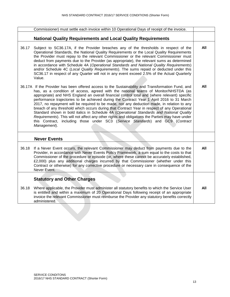|       | Commissioner) must settle each invoice within 10 Operational Days of receipt of the invoice.                                                                                                                                                                                                                                                                                                                                                                                                                                                                                                                                                                                                                                                                                                                                                                                           |     |
|-------|----------------------------------------------------------------------------------------------------------------------------------------------------------------------------------------------------------------------------------------------------------------------------------------------------------------------------------------------------------------------------------------------------------------------------------------------------------------------------------------------------------------------------------------------------------------------------------------------------------------------------------------------------------------------------------------------------------------------------------------------------------------------------------------------------------------------------------------------------------------------------------------|-----|
|       |                                                                                                                                                                                                                                                                                                                                                                                                                                                                                                                                                                                                                                                                                                                                                                                                                                                                                        |     |
|       | <b>National Quality Requirements and Local Quality Requirements</b>                                                                                                                                                                                                                                                                                                                                                                                                                                                                                                                                                                                                                                                                                                                                                                                                                    |     |
|       |                                                                                                                                                                                                                                                                                                                                                                                                                                                                                                                                                                                                                                                                                                                                                                                                                                                                                        |     |
| 36.17 | Subject to SC36.17A, if the Provider breaches any of the thresholds in respect of the<br>Operational Standards, the National Quality Requirements or the Local Quality Requirements<br>the Provider must repay to the relevant Commissioner or the relevant Commissioner must<br>deduct from payments due to the Provider (as appropriate), the relevant sums as determined<br>in accordance with Schedule 4A (Operational Standards and National Quality Requirements)<br>and/or Schedule 4C (Local Quality Requirements). The sums repaid or deducted under this<br>SC36.17 in respect of any Quarter will not in any event exceed 2.5% of the Actual Quarterly<br>Value.                                                                                                                                                                                                            | All |
|       | 36.17A If the Provider has been offered access to the Sustainability and Transformation Fund, and<br>has, as a condition of access, agreed with the national teams of Monitor/NHSTDA (as<br>appropriate) and NHS England an overall financial control total and (where relevant) specific<br>performance trajectories to be achieved during the Contract Year 1 April 2016 to 31 March<br>2017, no repayment will be required to be made, nor any deduction made, in relation to any<br>breach of any threshold which occurs during that Contract Year in respect of any Operational<br>Standard shown in bold italics in Schedule 4A (Operational Standards and National Quality<br>Requirements). This will not affect any other rights and obligations the Parties may have under<br>this Contract, including those under SC3 (Service Standards) and GC9 (Contract<br>Management). | All |
|       | <b>Never Events</b>                                                                                                                                                                                                                                                                                                                                                                                                                                                                                                                                                                                                                                                                                                                                                                                                                                                                    |     |
| 36.18 | If a Never Event occurs, the relevant Commissioner may deduct from payments due to the<br>Provider, in accordance with Never Events Policy Framework, a sum equal to the costs to that<br>Commissioner of the procedure or episode (or, where these cannot be accurately established,<br>£2,000) plus any additional charges incurred by that Commissioner (whether under this<br>Contract or otherwise) for any corrective procedure or necessary care in consequence of the<br>Never Event.                                                                                                                                                                                                                                                                                                                                                                                          | All |
|       | <b>Statutory and Other Charges</b>                                                                                                                                                                                                                                                                                                                                                                                                                                                                                                                                                                                                                                                                                                                                                                                                                                                     |     |
| 36.18 | Where applicable, the Provider must administer all statutory benefits to which the Service User<br>is entitled and within a maximum of 20 Operational Days following receipt of an appropriate<br>invoice the relevant Commissioner must reimburse the Provider any statutory benefits correctly<br>administered.                                                                                                                                                                                                                                                                                                                                                                                                                                                                                                                                                                      | All |
|       |                                                                                                                                                                                                                                                                                                                                                                                                                                                                                                                                                                                                                                                                                                                                                                                                                                                                                        |     |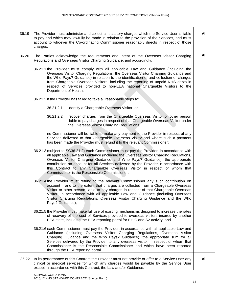- 36.19 The Provider must administer and collect all statutory charges which the Service User is liable to pay and which may lawfully be made in relation to the provision of the Services, and must account to whoever the Co-ordinating Commissioner reasonably directs in respect of those charges. **All**
- 36.20 The Parties acknowledge the requirements and intent of the Overseas Visitor Charging Regulations and Overseas Visitor Charging Guidance, and accordingly:
	- 36.21.1 the Provider must comply with all applicable Law and Guidance (including the Overseas Visitor Charging Regulations, the Overseas Visitor Charging Guidance and the Who Pays? Guidance) in relation to the identification of and collection of charges from Chargeable Overseas Visitors, including the reporting of unpaid NHS debts in respect of Services provided to non-EEA national Chargeable Visitors to the Department of Health;
	- 36.21.2 if the Provider has failed to take all reasonable steps to:
		- 36.21.2.1 identify a Chargeable Overseas Visitor; or
		- 36.21.2.2 recover charges from the Chargeable Overseas Visitor or other person liable to pay charges in respect of that Chargeable Overseas Visitor under the Overseas Visitor Charging Regulations,

no Commissioner will be liable to make any payment to the Provider in respect of any Services delivered to that Chargeable Overseas Visitor and where such a payment has been made the Provider must refund it to the relevant Commissioner;

- 36.21.3 (subject to SC36.21.2) each Commissioner must pay the Provider, in accordance with all applicable Law and Guidance (including the Overseas Visitor Charging Regulations, Overseas Visitor Charging Guidance and Who Pays? Guidance), the appropriate contribution on account for all Services delivered by the Provider in accordance with this Contract to any Chargeable Overseas Visitor in respect of whom that Commissioner is the Responsible Commissioner;
- 36.21.4 the Provider must refund to the relevant Commissioner any such contribution on account if and to the extent that charges are collected from a Chargeable Overseas Visitor or other person liable to pay charges in respect of that Chargeable Overseas Visitor, in accordance with all applicable Law and Guidance (including Overseas Visitor Charging Regulations, Overseas Visitor Charging Guidance and the Who Pays? Guidance);
- 36.21.5 the Provider must make full use of existing mechanisms designed to increase the rates of recovery of the cost of Services provided to overseas visitors insured by another EEA state, including the EEA reporting portal for EHIC and S2 activity; and
- 36.21.6 each Commissioner must pay the Provider, in accordance with all applicable Law and Guidance (including Overseas Visitor Charging Regulations, Overseas Visitor Charging Guidance and the Who Pays? Guidance), the appropriate sum for all Services delivered by the Provider to any overseas visitor in respect of whom that Commissioner is the Responsible Commissioner and which have been reported through the EEA reporting portal.
- 36.22 In its performance of this Contract the Provider must not provide or offer to a Service User any clinical or medical services for which any charges would be payable by the Service User except in accordance with this Contract, the Law and/or Guidance.

**All**

**All**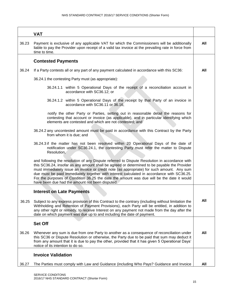|       | <b>VAT</b>                                                                                                                                                                                                                                                                                                                                                                                                                                                                                                                                |     |
|-------|-------------------------------------------------------------------------------------------------------------------------------------------------------------------------------------------------------------------------------------------------------------------------------------------------------------------------------------------------------------------------------------------------------------------------------------------------------------------------------------------------------------------------------------------|-----|
| 36.23 | Payment is exclusive of any applicable VAT for which the Commissioners will be additionally<br>liable to pay the Provider upon receipt of a valid tax invoice at the prevailing rate in force from<br>time to time.                                                                                                                                                                                                                                                                                                                       | All |
|       | <b>Contested Payments</b>                                                                                                                                                                                                                                                                                                                                                                                                                                                                                                                 |     |
| 36.24 | If a Party contests all or any part of any payment calculated in accordance with this SC36:                                                                                                                                                                                                                                                                                                                                                                                                                                               | All |
|       | 36.24.1 the contesting Party must (as appropriate):                                                                                                                                                                                                                                                                                                                                                                                                                                                                                       |     |
|       | 36.24.1.1 within 5 Operational Days of the receipt of a reconciliation account in<br>accordance with SC36.12; or                                                                                                                                                                                                                                                                                                                                                                                                                          |     |
|       | 36.24.1.2 within 5 Operational Days of the receipt by that Party of an invoice in<br>accordance with SC36.11 or 36.16,                                                                                                                                                                                                                                                                                                                                                                                                                    |     |
|       | notify the other Party or Parties, setting out in reasonable detail the reasons for<br>contesting that account or invoice (as applicable), and in particular identifying which<br>elements are contested and which are not contested; and                                                                                                                                                                                                                                                                                                 |     |
|       | 36.24.2 any uncontested amount must be paid in accordance with this Contract by the Party<br>from whom it is due; and                                                                                                                                                                                                                                                                                                                                                                                                                     |     |
|       | 36.24.3 if the matter has not been resolved within 20 Operational Days of the date of<br>notification under SC36.24.1, the contesting Party must refer the matter to Dispute<br>Resolution,                                                                                                                                                                                                                                                                                                                                               |     |
|       | and following the resolution of any Dispute referred to Dispute Resolution in accordance with<br>this SC36.24, insofar as any amount shall be agreed or determined to be payable the Provider<br>must immediately issue an invoice or credit note (as appropriate) for such amount. Any sum<br>due must be paid immediately together with interest calculated in accordance with SC36.25.<br>For the purposes of Condition 36.25 the date the amount was due will be the date it would<br>have been due had the amount not been disputed. |     |
|       | <b>Interest on Late Payments</b>                                                                                                                                                                                                                                                                                                                                                                                                                                                                                                          |     |
| 36.25 | Subject to any express provision of this Contract to the contrary (including without limitation the<br>Withholding and Retention of Payment Provisions), each Party will be entitled, in addition to<br>any other right or remedy, to receive Interest on any payment not made from the day after the<br>date on which payment was due up to and including the date of payment.                                                                                                                                                           | All |
|       | <b>Set Off</b>                                                                                                                                                                                                                                                                                                                                                                                                                                                                                                                            |     |
| 36.26 | Whenever any sum is due from one Party to another as a consequence of reconciliation under<br>this SC36 or Dispute Resolution or otherwise, the Party due to be paid that sum may deduct it<br>from any amount that it is due to pay the other, provided that it has given 5 Operational Days'<br>notice of its intention to do so.                                                                                                                                                                                                       | All |
|       | <b>Invoice Validation</b>                                                                                                                                                                                                                                                                                                                                                                                                                                                                                                                 |     |
| 36.27 | The Parties must comply with Law and Guidance (including Who Pays? Guidance and Invoice                                                                                                                                                                                                                                                                                                                                                                                                                                                   | All |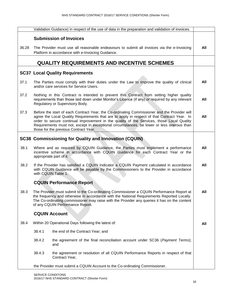|       | Validation Guidance) in respect of the use of data in the preparation and validation of invoices.                                                                                                                                                                                                                                                                                                                              |  |     |
|-------|--------------------------------------------------------------------------------------------------------------------------------------------------------------------------------------------------------------------------------------------------------------------------------------------------------------------------------------------------------------------------------------------------------------------------------|--|-----|
|       | <b>Submission of Invoices</b>                                                                                                                                                                                                                                                                                                                                                                                                  |  |     |
| 36.28 | The Provider must use all reasonable endeavours to submit all invoices via the e-Invoicing<br>Platform in accordance with e-Invoicing Guidance.                                                                                                                                                                                                                                                                                |  | All |
|       | <b>QUALITY REQUIREMENTS AND INCENTIVE SCHEMES</b>                                                                                                                                                                                                                                                                                                                                                                              |  |     |
|       | <b>SC37 Local Quality Requirements</b>                                                                                                                                                                                                                                                                                                                                                                                         |  |     |
| 37.1  | The Parties must comply with their duties under the Law to improve the quality of clinical<br>and/or care services for Service Users.                                                                                                                                                                                                                                                                                          |  | All |
| 37.2  | Nothing in this Contract is intended to prevent this Contract from setting higher quality<br>requirements than those laid down under Monitor's Licence (if any) or required by any relevant<br>Regulatory or Supervisory Body.                                                                                                                                                                                                 |  | All |
| 37.3  | Before the start of each Contract Year, the Co-ordinating Commissioner and the Provider will<br>agree the Local Quality Requirements that are to apply in respect of that Contract Year. In<br>order to secure continual improvement in the quality of the Services, those Local Quality<br>Requirements must not, except in exceptional circumstances, be lower or less onerous than<br>those for the previous Contract Year. |  | All |
|       | <b>SC38 Commissioning for Quality and Innovation (CQUIN)</b>                                                                                                                                                                                                                                                                                                                                                                   |  |     |
| 38.1  | Where and as required by CQUIN Guidance, the Parties must implement a performance<br>incentive scheme in accordance with CQUIN Guidance for each Contract Year or the<br>appropriate part of it.                                                                                                                                                                                                                               |  | All |
| 38.2  | If the Provider has satisfied a CQUIN Indicator a CQUIN Payment calculated in accordance<br>with CQUIN Guidance will be payable by the Commissioners to the Provider in accordance<br>with CQUIN Table 1.                                                                                                                                                                                                                      |  | All |
|       | <b>CQUIN Performance Report</b>                                                                                                                                                                                                                                                                                                                                                                                                |  |     |
| 38.3  | The Provider must submit to the Co-ordinating Commissioner a CQUIN Performance Report at<br>the frequency and otherwise in accordance with the National Requirements Reported Locally.<br>The Co-ordinating commissioner may raise with the Provider any queries it has on the content<br>of any CQUIN Performance Report.                                                                                                     |  | All |
|       | <b>CQUIN Account</b>                                                                                                                                                                                                                                                                                                                                                                                                           |  |     |
| 38.4  | Within 20 Operational Days following the latest of:                                                                                                                                                                                                                                                                                                                                                                            |  | All |
|       | 38.4.1<br>the end of the Contract Year; and                                                                                                                                                                                                                                                                                                                                                                                    |  |     |
|       | 38.4.2<br>the agreement of the final reconciliation account under SC36 (Payment Terms);<br>and                                                                                                                                                                                                                                                                                                                                 |  |     |
|       | 38.4.3<br>the agreement or resolution of all CQUIN Performance Reports in respect of that<br>Contract Year,                                                                                                                                                                                                                                                                                                                    |  |     |
|       | the Provider must submit a CQUIN Account to the Co-ordinating Commissioner.                                                                                                                                                                                                                                                                                                                                                    |  |     |